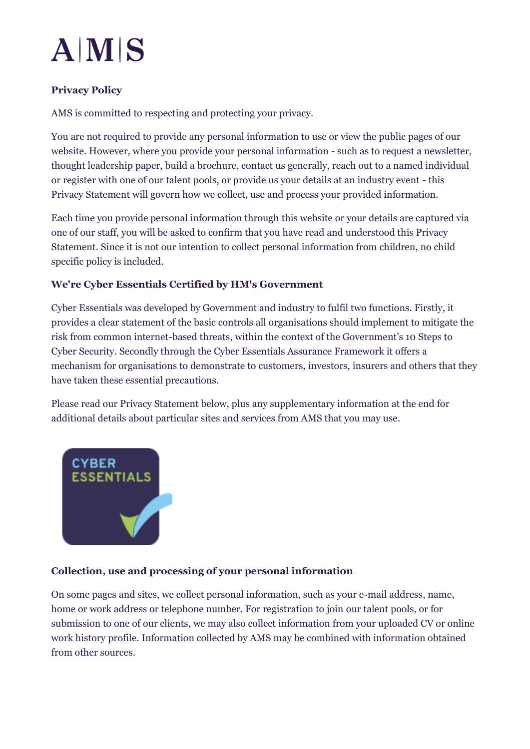

# **Privacy Policy**

AMS is committed to respecting and protecting your privacy.

You are not required to provide any personal information to use or view the public pages of our website. However, where you provide your personal information - such as to request a newsletter, thought leadership paper, build a brochure, contact us generally, reach out to a named individual or register with one of our talent pools, or provide us your details at an industry event - this Privacy Statement will govern how we collect, use and process your provided information.

Each time you provide personal information through this website or your details are captured via one of our staff, you will be asked to confirm that you have read and understood this Privacy Statement. Since it is not our intention to collect personal information from children, no child specific policy is included.

### **[We're Cyber Essentials Certified by HM's Government](javascript:void(0);)**

[Cyber Essentials](https://www.gov.uk/government/uploads/system/uploads/attachment_data/file/526200/ppn_update_cyber_essentials_0914.pdf) was developed by Government and industry to fulfil two functions. Firstly, it provides a clear statement of the basic controls all organisations should implement to mitigate the risk from common internet-based threats, within the context of the Government's 10 Steps to Cyber Security. Secondly through the Cyber Essentials Assurance Framework it offers a mechanism for organisations to demonstrate to customers, investors, insurers and others that they have taken these essential precautions.

Please read our Privacy Statement below, plus any supplementary information at the end for additional details about particular sites and services from AMS that you may use.



# **[Collection, use and processing of your personal information](javascript:void(0);)**

On some pages and sites, we collect personal information, such as your e-mail address, name, home or work address or telephone number. For registration to join our talent pools, or for submission to one of our clients, we may also collect information from your uploaded CV or online work history profile. Information collected by AMS may be combined with information obtained from other sources.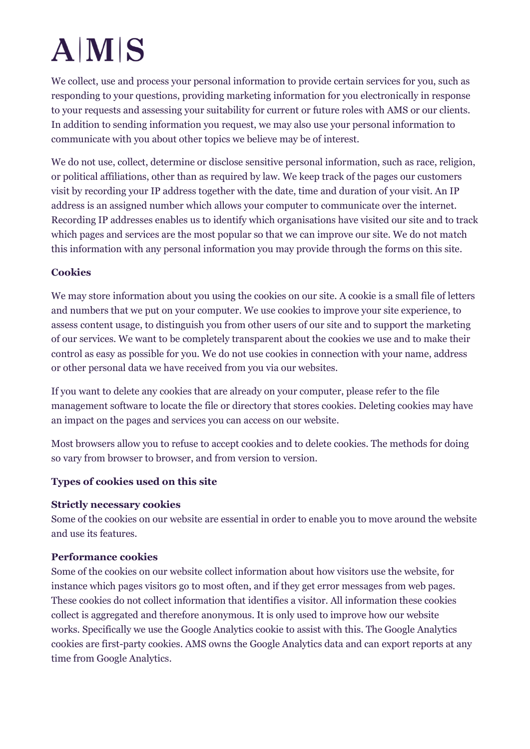We collect, use and process your personal information to provide certain services for you, such as responding to your questions, providing marketing information for you electronically in response to your requests and assessing your suitability for current or future roles with AMS or our clients. In addition to sending information you request, we may also use your personal information to communicate with you about other topics we believe may be of interest.

We do not use, collect, determine or disclose sensitive personal information, such as race, religion, or political affiliations, other than as required by law. We keep track of the pages our customers visit by recording your IP address together with the date, time and duration of your visit. An IP address is an assigned number which allows your computer to communicate over the internet. Recording IP addresses enables us to identify which organisations have visited our site and to track which pages and services are the most popular so that we can improve our site. We do not match this information with any personal information you may provide through the forms on this site.

### **Cookies**

We may store information about you using the cookies on our site. A cookie is a small file of letters and numbers that we put on your computer. We use cookies to improve your site experience, to assess content usage, to distinguish you from other users of our site and to support the marketing of our services. We want to be completely transparent about the cookies we use and to make their control as easy as possible for you. We do not use cookies in connection with your name, address or other personal data we have received from you via our websites.

If you want to delete any cookies that are already on your computer, please refer to the file management software to locate the file or directory that stores cookies. Deleting cookies may have an impact on the pages and services you can access on our website.

Most browsers allow you to refuse to accept cookies and to delete cookies. The methods for doing so vary from browser to browser, and from version to version.

# **Types of cookies used on this site**

#### **Strictly necessary cookies**

Some of the cookies on our website are essential in order to enable you to move around the website and use its features.

# **Performance cookies**

Some of the cookies on our website collect information about how visitors use the website, for instance which pages visitors go to most often, and if they get error messages from web pages. These cookies do not collect information that identifies a visitor. All information these cookies collect is aggregated and therefore anonymous. It is only used to improve how our website works. Specifically we use the Google Analytics cookie to assist with this. The Google Analytics cookies are first-party cookies. AMS owns the Google Analytics data and can export reports at any time from Google Analytics.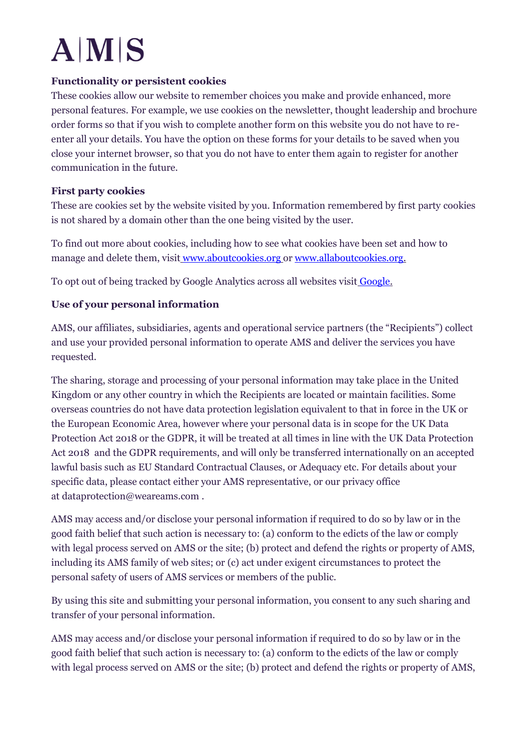

#### **Functionality or persistent cookies**

These cookies allow our website to remember choices you make and provide enhanced, more personal features. For example, we use cookies on the newsletter, thought leadership and brochure order forms so that if you wish to complete another form on this website you do not have to reenter all your details. You have the option on these forms for your details to be saved when you close your internet browser, so that you do not have to enter them again to register for another communication in the future.

#### **First party cookies**

These are cookies set by the website visited by you. Information remembered by first party cookies is not shared by a domain other than the one being visited by the user.

To find out more about cookies, including how to see what cookies have been set and how to manage and delete them, visit [www.aboutcookies.org](http://www.aboutcookies.org/) or [www.allaboutcookies.org.](http://www.allaboutcookies.org/)

To opt out of being tracked by Google Analytics across all websites visit [Google.](https://tools.google.com/dlpage/gaoptout)

#### **[Use of your personal information](javascript:void(0);)**

AMS, our affiliates, subsidiaries, agents and operational service partners (the "Recipients") collect and use your provided personal information to operate AMS and deliver the services you have requested.

The sharing, storage and processing of your personal information may take place in the United Kingdom or any other country in which the Recipients are located or maintain facilities. Some overseas countries do not have data protection legislation equivalent to that in force in the UK or the European Economic Area, however where your personal data is in scope for the UK Data Protection Act 2018 or the GDPR, it will be treated at all times in line with the UK Data Protection Act 2018 and the GDPR requirements, and will only be transferred internationally on an accepted lawful basis such as EU Standard Contractual Clauses, or Adequacy etc. For details about your specific data, please contact either your AMS representative, or our privacy office at [dataprotection@weareams.com](mailto:dataprotection@weareams.com) .

AMS may access and/or disclose your personal information if required to do so by law or in the good faith belief that such action is necessary to: (a) conform to the edicts of the law or comply with legal process served on AMS or the site; (b) protect and defend the rights or property of AMS, including its AMS family of web sites; or (c) act under exigent circumstances to protect the personal safety of users of AMS services or members of the public.

By using this site and submitting your personal information, you consent to any such sharing and transfer of your personal information.

AMS may access and/or disclose your personal information if required to do so by law or in the good faith belief that such action is necessary to: (a) conform to the edicts of the law or comply with legal process served on AMS or the site; (b) protect and defend the rights or property of AMS,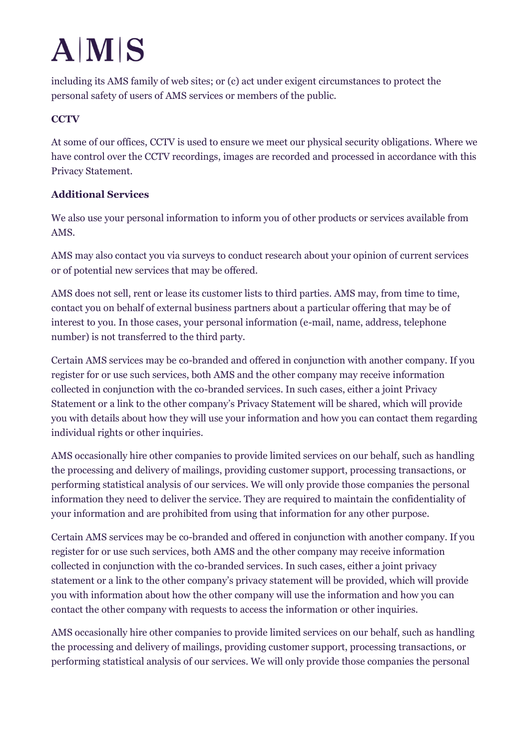including its AMS family of web sites; or (c) act under exigent circumstances to protect the personal safety of users of AMS services or members of the public.

# **CCTV**

At some of our offices, CCTV is used to ensure we meet our physical security obligations. Where we have control over the CCTV recordings, images are recorded and processed in accordance with this Privacy Statement.

# **Additional Services**

We also use your personal information to inform you of other products or services available from AMS.

AMS may also contact you via surveys to conduct research about your opinion of current services or of potential new services that may be offered.

AMS does not sell, rent or lease its customer lists to third parties. AMS may, from time to time, contact you on behalf of external business partners about a particular offering that may be of interest to you. In those cases, your personal information (e-mail, name, address, telephone number) is not transferred to the third party.

Certain AMS services may be co-branded and offered in conjunction with another company. If you register for or use such services, both AMS and the other company may receive information collected in conjunction with the co-branded services. In such cases, either a joint Privacy Statement or a link to the other company's Privacy Statement will be shared, which will provide you with details about how they will use your information and how you can contact them regarding individual rights or other inquiries.

AMS occasionally hire other companies to provide limited services on our behalf, such as handling the processing and delivery of mailings, providing customer support, processing transactions, or performing statistical analysis of our services. We will only provide those companies the personal information they need to deliver the service. They are required to maintain the confidentiality of your information and are prohibited from using that information for any other purpose.

Certain AMS services may be co-branded and offered in conjunction with another company. If you register for or use such services, both AMS and the other company may receive information collected in conjunction with the co-branded services. In such cases, either a joint privacy statement or a link to the other company's privacy statement will be provided, which will provide you with information about how the other company will use the information and how you can contact the other company with requests to access the information or other inquiries.

AMS occasionally hire other companies to provide limited services on our behalf, such as handling the processing and delivery of mailings, providing customer support, processing transactions, or performing statistical analysis of our services. We will only provide those companies the personal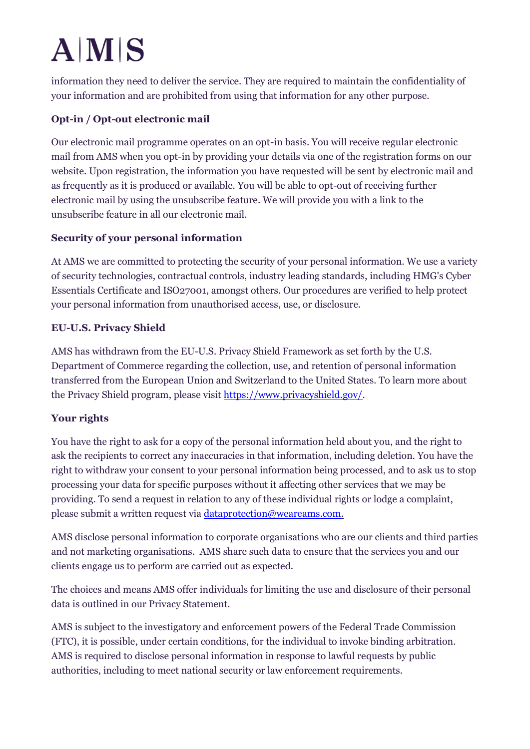information they need to deliver the service. They are required to maintain the confidentiality of your information and are prohibited from using that information for any other purpose.

# **[Opt-in / Opt-out electronic mail](javascript:void(0);)**

Our electronic mail programme operates on an opt-in basis. You will receive regular electronic mail from AMS when you opt-in by providing your details via one of the registration forms on our website. Upon registration, the information you have requested will be sent by electronic mail and as frequently as it is produced or available. You will be able to opt-out of receiving further electronic mail by using the unsubscribe feature. We will provide you with a link to the unsubscribe feature in all our electronic mail.

# **[Security of your personal](javascript:void(0);) information**

At AMS we are committed to protecting the security of your personal information. We use a variety of security technologies, contractual controls, industry leading standards, including HMG's Cyber Essentials Certificate and ISO27001, amongst others. Our procedures are verified to help protect your personal information from unauthorised access, use, or disclosure.

# **[EU-U.S. Privacy Shield](javascript:void(0);)**

AMS has withdrawn from the EU-U.S. Privacy Shield Framework as set forth by the U.S. Department of Commerce regarding the collection, use, and retention of personal information transferred from the European Union and Switzerland to the United States. To learn more about the Privacy Shield program, please visit [https://www.privacyshield.gov/.](https://protect-eu.mimecast.com/s/mSTuCPQvWt5Gpo5C1UiZ9?domain=gcc02.safelinks.protection.outlook.com)

# **[Your rights](javascript:void(0);)**

You have the right to ask for a copy of the personal information held about you, and the right to ask the recipients to correct any inaccuracies in that information, including deletion. You have the right to withdraw your consent to your personal information being processed, and to ask us to stop processing your data for specific purposes without it affecting other services that we may be providing. To send a request in relation to any of these individual rights or lodge a complaint, please submit a written request via [dataprotection@weareams.com.](https://www.weareams.com/privacy-policy/dataprotection@weareams.com)

AMS disclose personal information to corporate organisations who are our clients and third parties and not marketing organisations. AMS share such data to ensure that the services you and our clients engage us to perform are carried out as expected.

The choices and means AMS offer individuals for limiting the use and disclosure of their personal data is outlined in our Privacy Statement.

AMS is subject to the investigatory and enforcement powers of the Federal Trade Commission (FTC), it is possible, under certain conditions, for the individual to invoke binding arbitration. AMS is required to disclose personal information in response to lawful requests by public authorities, including to meet national security or law enforcement requirements.